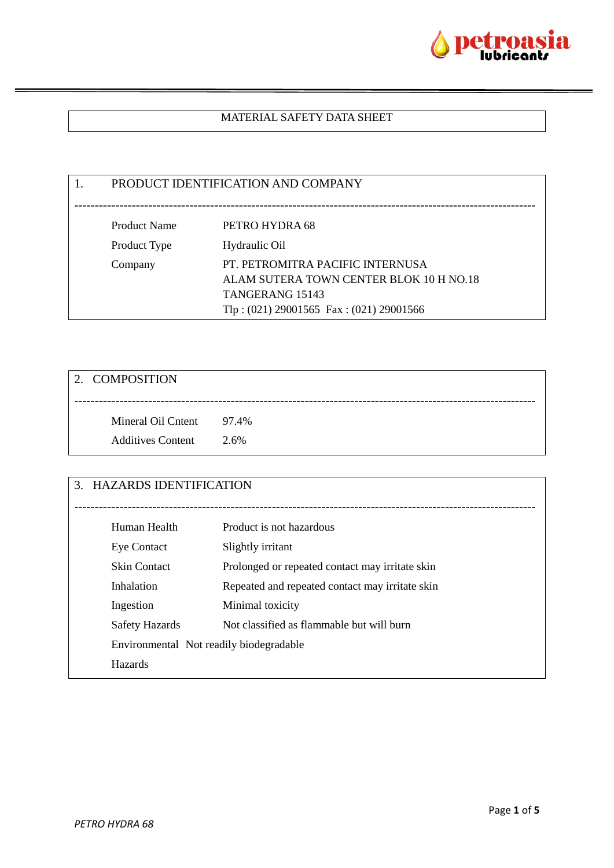

# MATERIAL SAFETY DATA SHEET

1. PRODUCT IDENTIFICATION AND COMPANY ---------------------------------------------------------------------------------------------------------------- Product Name PETRO HYDRA 68 Product Type Hydraulic Oil Company PT. PETROMITRA PACIFIC INTERNUSA ALAM SUTERA TOWN CENTER BLOK 10 H NO.18 TANGERANG 15143 Tlp : (021) 29001565 Fax : (021) 29001566

| 2. COMPOSITION                                       |      |
|------------------------------------------------------|------|
| Mineral Oil Cntent 97.4%<br><b>Additives Content</b> | 2.6% |

| 3. HAZARDS IDENTIFICATION               |                                                 |
|-----------------------------------------|-------------------------------------------------|
|                                         |                                                 |
| Human Health                            | Product is not hazardous                        |
| Eye Contact                             | Slightly irritant                               |
| <b>Skin Contact</b>                     | Prolonged or repeated contact may irritate skin |
| Inhalation                              | Repeated and repeated contact may irritate skin |
| Ingestion                               | Minimal toxicity                                |
| <b>Safety Hazards</b>                   | Not classified as flammable but will burn       |
| Environmental Not readily biodegradable |                                                 |
| <b>Hazards</b>                          |                                                 |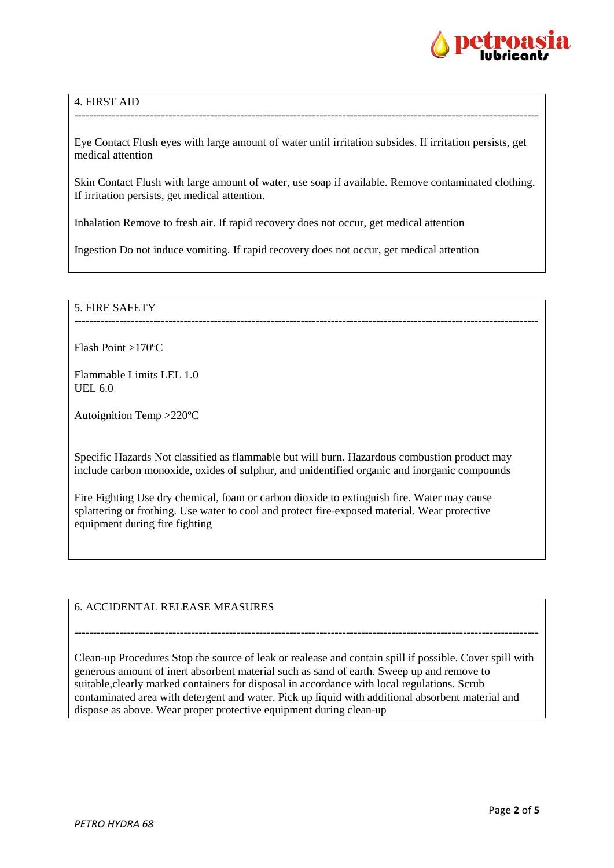

# 4. FIRST AID

Eye Contact Flush eyes with large amount of water until irritation subsides. If irritation persists, get medical attention

---------------------------------------------------------------------------------------------------------------------------

Skin Contact Flush with large amount of water, use soap if available. Remove contaminated clothing. If irritation persists, get medical attention.

Inhalation Remove to fresh air. If rapid recovery does not occur, get medical attention

Ingestion Do not induce vomiting. If rapid recovery does not occur, get medical attention

#### 5. FIRE SAFETY ---------------------------------------------------------------------------------------------------------------------------

Flash Point >170ºC

Flammable Limits LEL 1.0 UEL 6.0

Autoignition Temp >220ºC

Specific Hazards Not classified as flammable but will burn. Hazardous combustion product may include carbon monoxide, oxides of sulphur, and unidentified organic and inorganic compounds

Fire Fighting Use dry chemical, foam or carbon dioxide to extinguish fire. Water may cause splattering or frothing. Use water to cool and protect fire-exposed material. Wear protective equipment during fire fighting

6. ACCIDENTAL RELEASE MEASURES

Clean-up Procedures Stop the source of leak or realease and contain spill if possible. Cover spill with generous amount of inert absorbent material such as sand of earth. Sweep up and remove to suitable,clearly marked containers for disposal in accordance with local regulations. Scrub contaminated area with detergent and water. Pick up liquid with additional absorbent material and dispose as above. Wear proper protective equipment during clean-up

---------------------------------------------------------------------------------------------------------------------------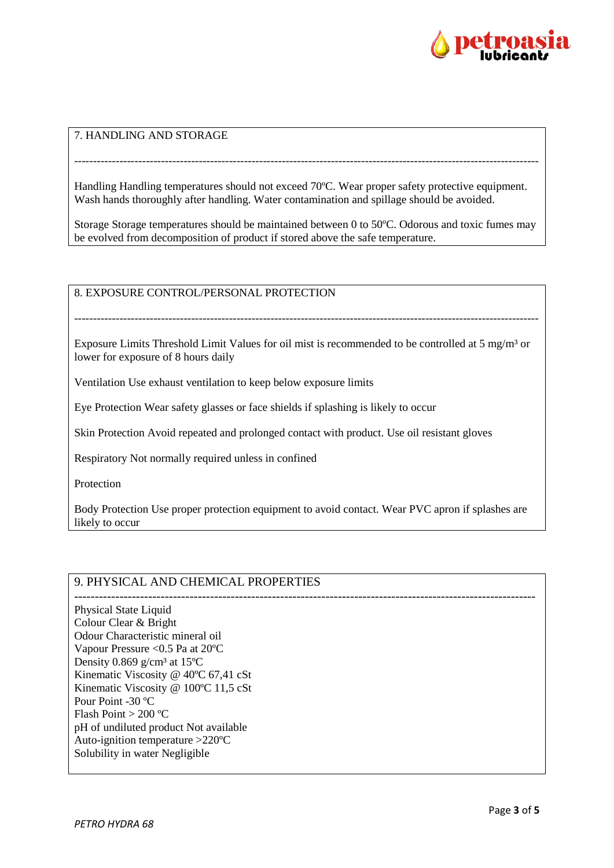

# 7. HANDLING AND STORAGE

Handling Handling temperatures should not exceed 70ºC. Wear proper safety protective equipment. Wash hands thoroughly after handling. Water contamination and spillage should be avoided.

---------------------------------------------------------------------------------------------------------------------------

Storage Storage temperatures should be maintained between 0 to 50ºC. Odorous and toxic fumes may be evolved from decomposition of product if stored above the safe temperature.

8. EXPOSURE CONTROL/PERSONAL PROTECTION

Exposure Limits Threshold Limit Values for oil mist is recommended to be controlled at 5 mg/m<sup>3</sup> or lower for exposure of 8 hours daily

---------------------------------------------------------------------------------------------------------------------------

Ventilation Use exhaust ventilation to keep below exposure limits

Eye Protection Wear safety glasses or face shields if splashing is likely to occur

Skin Protection Avoid repeated and prolonged contact with product. Use oil resistant gloves

Respiratory Not normally required unless in confined

**Protection** 

Body Protection Use proper protection equipment to avoid contact. Wear PVC apron if splashes are likely to occur

# 9. PHYSICAL AND CHEMICAL PROPERTIES

---------------------------------------------------------------------------------------------------------------- Physical State Liquid Colour Clear & Bright Odour Characteristic mineral oil Vapour Pressure <0.5 Pa at 20ºC Density 0.869  $g/cm^3$  at 15°C Kinematic Viscosity @ 40ºC 67,41 cSt Kinematic Viscosity @ 100ºC 11,5 cSt Pour Point -30 ºC Flash Point > 200 ºC pH of undiluted product Not available Auto-ignition temperature >220ºC Solubility in water Negligible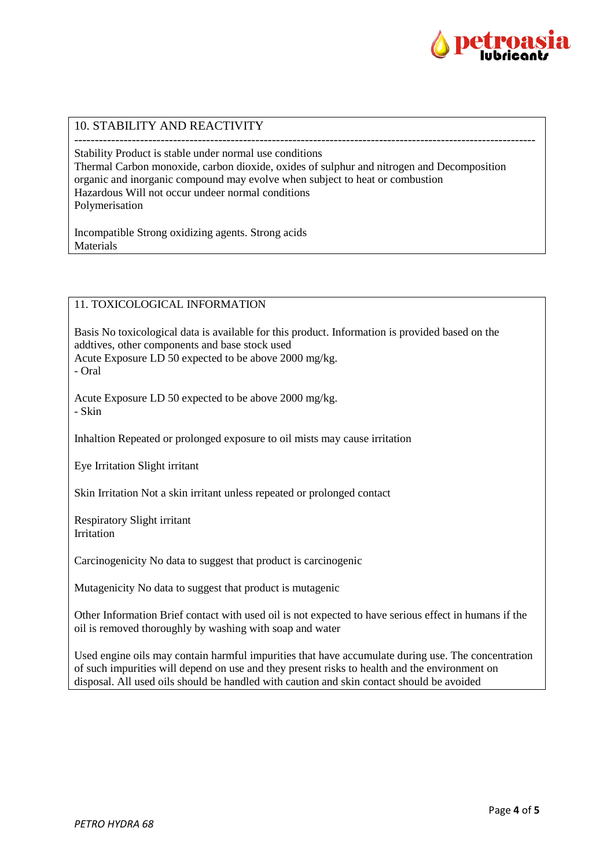

# 10. STABILITY AND REACTIVITY

---------------------------------------------------------------------------------------------------------------- Stability Product is stable under normal use conditions Thermal Carbon monoxide, carbon dioxide, oxides of sulphur and nitrogen and Decomposition organic and inorganic compound may evolve when subject to heat or combustion Hazardous Will not occur undeer normal conditions Polymerisation

Incompatible Strong oxidizing agents. Strong acids Materials

### 11. TOXICOLOGICAL INFORMATION

Basis No toxicological data is available for this product. Information is provided based on the addtives, other components and base stock used Acute Exposure LD 50 expected to be above 2000 mg/kg. - Oral

Acute Exposure LD 50 expected to be above 2000 mg/kg. - Skin

Inhaltion Repeated or prolonged exposure to oil mists may cause irritation

Eye Irritation Slight irritant

Skin Irritation Not a skin irritant unless repeated or prolonged contact

Respiratory Slight irritant Irritation

Carcinogenicity No data to suggest that product is carcinogenic

Mutagenicity No data to suggest that product is mutagenic

Other Information Brief contact with used oil is not expected to have serious effect in humans if the oil is removed thoroughly by washing with soap and water

Used engine oils may contain harmful impurities that have accumulate during use. The concentration of such impurities will depend on use and they present risks to health and the environment on disposal. All used oils should be handled with caution and skin contact should be avoided